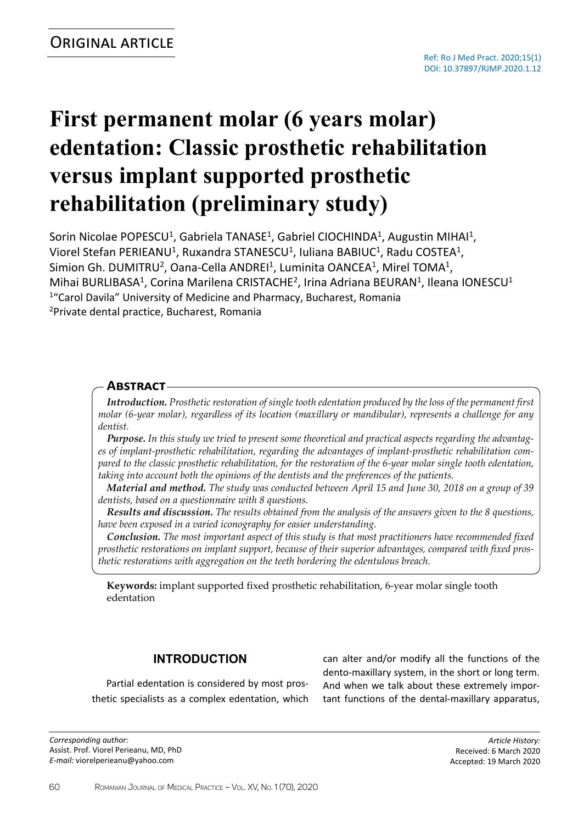# **First permanent molar (6 years molar) edentation: Classic prosthetic rehabilitation versus implant supported prosthetic rehabilitation (preliminary study)**

Sorin Nicolae POPESCU<sup>1</sup>, Gabriela TANASE<sup>1</sup>, Gabriel CIOCHINDA<sup>1</sup>, Augustin MIHAI<sup>1</sup>, Viorel Stefan PERIEANU<sup>1</sup>, Ruxandra STANESCU<sup>1</sup>, Iuliana BABIUC<sup>1</sup>, Radu COSTEA<sup>1</sup>, Simion Gh. DUMITRU<sup>2</sup>, Oana-Cella ANDREI<sup>1</sup>, Luminita OANCEA<sup>1</sup>, Mirel TOMA<sup>1</sup>, Mihai BURLIBASA<sup>1</sup>, Corina Marilena CRISTACHE<sup>2</sup>, Irina Adriana BEURAN<sup>1</sup>, Ileana IONESCU<sup>1</sup> <sup>1</sup>"Carol Davila" University of Medicine and Pharmacy, Bucharest, Romania <sup>2</sup>Private dental practice, Bucharest, Romania

# **Abstract**

*Introduction. Prosthetic restoration of single tooth edentation produced by the loss of the permanent first molar (6-year molar), regardless of its location (maxillary or mandibular), represents a challenge for any dentist.*

*Purpose. In this study we tried to present some theoretical and practical aspects regarding the advantages of implant-prosthetic rehabilitation, regarding the advantages of implant-prosthetic rehabilitation com*pared to the classic prosthetic rehabilitation, for the restoration of the 6-year molar single tooth edentation, *taking into account both the opinions of the dentists and the preferences of the patients.*

*Material and method. The study was conducted between April 15 and June 30, 2018 on a group of 39 dentists, based on a questionnaire with 8 questions.*

*Results and discussion. The results obtained from the analysis of the answers given to the 8 questions, have been exposed in a varied iconography for easier understanding.*

*Conclusion. The most important aspect of this study is that most practitioners have recommended fixed prosthetic restorations on implant support, because of their superior advantages, compared with fixed prosthetic restorations with aggregation on the teeth bordering the edentulous breach.*

**Keywords:** implant supported fixed prosthetic rehabilitation, 6-year molar single tooth edentation

# **INTRODUCTION**

Partial edentation is considered by most prosthetic specialists as a complex edentation, which

*Corresponding author:* Assist. Prof. Viorel Perieanu, MD, PhD *E-mail:* viorelperieanu@yahoo.com

can alter and/or modify all the functions of the dento-maxillary system, in the short or long term. And when we talk about these extremely important functions of the dental-maxillary apparatus,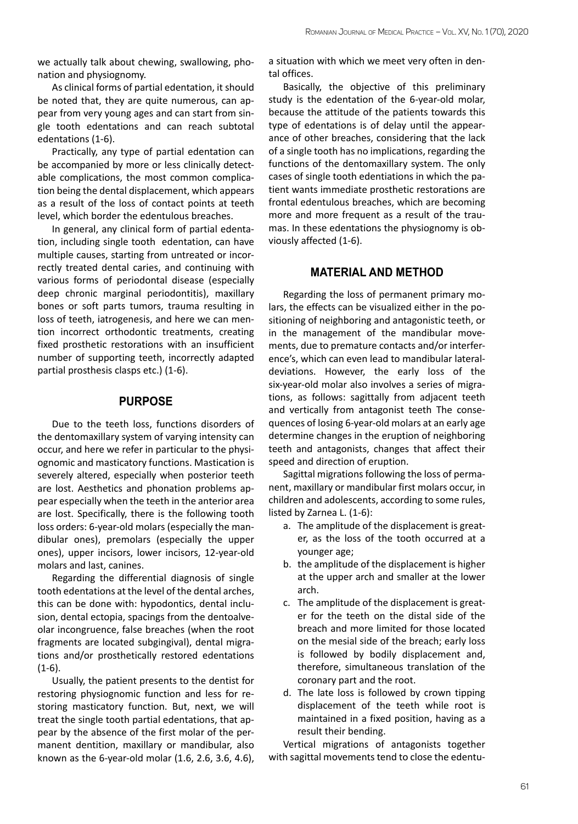we actually talk about chewing, swallowing, phonation and physiognomy.

As clinical forms of partial edentation, it should be noted that, they are quite numerous, can appear from very young ages and can start from single tooth edentations and can reach subtotal edentations (1-6).

Practically, any type of partial edentation can be accompanied by more or less clinically detectable complications, the most common complication being the dental displacement, which appears as a result of the loss of contact points at teeth level, which border the edentulous breaches.

In general, any clinical form of partial edentation, including single tooth edentation, can have multiple causes, starting from untreated or incorrectly treated dental caries, and continuing with various forms of periodontal disease (especially deep chronic marginal periodontitis), maxillary bones or soft parts tumors, trauma resulting in loss of teeth, iatrogenesis, and here we can mention incorrect orthodontic treatments, creating fixed prosthetic restorations with an insufficient number of supporting teeth, incorrectly adapted partial prosthesis clasps etc.) (1-6).

## **PURPOSE**

Due to the teeth loss, functions disorders of the dentomaxillary system of varying intensity can occur, and here we refer in particular to the physiognomic and masticatory functions. Mastication is severely altered, especially when posterior teeth are lost. Aesthetics and phonation problems appear especially when the teeth in the anterior area are lost. Specifically, there is the following tooth loss orders: 6-year-old molars (especially the mandibular ones), premolars (especially the upper ones), upper incisors, lower incisors, 12-year-old molars and last, canines.

Regarding the differential diagnosis of single tooth edentations at the level of the dental arches, this can be done with: hypodontics, dental inclusion, dental ectopia, spacings from the dentoalveolar incongruence, false breaches (when the root fragments are located subgingival), dental migrations and/or prosthetically restored edentations  $(1-6)$ .

Usually, the patient presents to the dentist for restoring physiognomic function and less for restoring masticatory function. But, next, we will treat the single tooth partial edentations, that appear by the absence of the first molar of the permanent dentition, maxillary or mandibular, also known as the 6-year-old molar (1.6, 2.6, 3.6, 4.6),

a situation with which we meet very often in dental offices.

Basically, the objective of this preliminary study is the edentation of the 6-year-old molar, because the attitude of the patients towards this type of edentations is of delay until the appearance of other breaches, considering that the lack of a single tooth has no implications, regarding the functions of the dentomaxillary system. The only cases of single tooth edentiations in which the patient wants immediate prosthetic restorations are frontal edentulous breaches, which are becoming more and more frequent as a result of the traumas. In these edentations the physiognomy is obviously affected (1-6).

# **MATERIAL AND METHOD**

Regarding the loss of permanent primary molars, the effects can be visualized either in the positioning of neighboring and antagonistic teeth, or in the management of the mandibular movements, due to premature contacts and/or interference's, which can even lead to mandibular lateraldeviations. However, the early loss of the six-year-old molar also involves a series of migrations, as follows: sagittally from adjacent teeth and vertically from antagonist teeth The consequences of losing 6-year-old molars at an early age determine changes in the eruption of neighboring teeth and antagonists, changes that affect their speed and direction of eruption.

Sagittal migrations following the loss of permanent, maxillary or mandibular first molars occur, in children and adolescents, according to some rules, listed by Zarnea L. (1-6):

- a. The amplitude of the displacement is greater, as the loss of the tooth occurred at a younger age;
- b. the amplitude of the displacement is higher at the upper arch and smaller at the lower arch.
- c. The amplitude of the displacement is greater for the teeth on the distal side of the breach and more limited for those located on the mesial side of the breach; early loss is followed by bodily displacement and, therefore, simultaneous translation of the coronary part and the root.
- d. The late loss is followed by crown tipping displacement of the teeth while root is maintained in a fixed position, having as a result their bending.

Vertical migrations of antagonists together with sagittal movements tend to close the edentu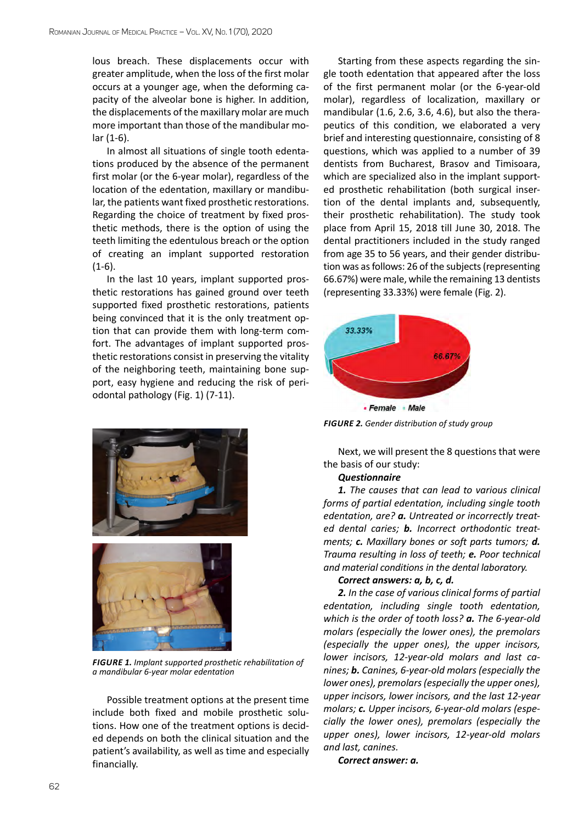lous breach. These displacements occur with greater amplitude, when the loss of the first molar occurs at a younger age, when the deforming capacity of the alveolar bone is higher. In addition, the displacements of the maxillary molar are much more important than those of the mandibular molar (1-6).

In almost all situations of single tooth edentations produced by the absence of the permanent first molar (or the 6-year molar), regardless of the location of the edentation, maxillary or mandibular, the patients want fixed prosthetic restorations. Regarding the choice of treatment by fixed prosthetic methods, there is the option of using the teeth limiting the edentulous breach or the option of creating an implant supported restoration  $(1-6)$ .

In the last 10 years, implant supported prosthetic restorations has gained ground over teeth supported fixed prosthetic restorations, patients being convinced that it is the only treatment option that can provide them with long-term comfort. The advantages of implant supported prosthetic restorations consist in preserving the vitality of the neighboring teeth, maintaining bone support, easy hygiene and reducing the risk of periodontal pathology (Fig. 1) (7-11).





*FIGURE 1. Implant supported prosthetic rehabilitation of a mandibular 6-year molar edentation*

Possible treatment options at the present time include both fixed and mobile prosthetic solutions. How one of the treatment options is decided depends on both the clinical situation and the patient's availability, as well as time and especially financially.

Starting from these aspects regarding the single tooth edentation that appeared after the loss of the first permanent molar (or the 6-year-old molar), regardless of localization, maxillary or mandibular (1.6, 2.6, 3.6, 4.6), but also the therapeutics of this condition, we elaborated a very brief and interesting questionnaire, consisting of 8 questions, which was applied to a number of 39 dentists from Bucharest, Brasov and Timisoara, which are specialized also in the implant supported prosthetic rehabilitation (both surgical insertion of the dental implants and, subsequently, their prosthetic rehabilitation). The study took place from April 15, 2018 till June 30, 2018. The dental practitioners included in the study ranged from age 35 to 56 years, and their gender distribution was as follows: 26 of the subjects (representing 66.67%) were male, while the remaining 13 dentists (representing 33.33%) were female (Fig. 2).



*FIGURE 2. Gender distribution of study group*

Next, we will present the 8 questions that were the basis of our study:

#### *Questionnaire*

*1. The causes that can lead to various clinical forms of partial edentation, including single tooth edentation, are? a. Untreated or incorrectly treated dental caries; b. Incorrect orthodontic treatments; c. Maxillary bones or soft parts tumors; d. Trauma resulting in loss of teeth; e. Poor technical and material conditions in the dental laboratory.* 

### *Correct answers: a, b, c, d.*

*2. In the case of various clinical forms of partial edentation, including single tooth edentation, which is the order of tooth loss? a. The 6-year-old molars (especially the lower ones), the premolars (especially the upper ones), the upper incisors, lower incisors, 12-year-old molars and last canines; b. Canines, 6-year-old molars (especially the lower ones), premolars (especially the upper ones), upper incisors, lower incisors, and the last 12-year molars; c. Upper incisors, 6-year-old molars (especially the lower ones), premolars (especially the upper ones), lower incisors, 12-year-old molars and last, canines.* 

*Correct answer: a.*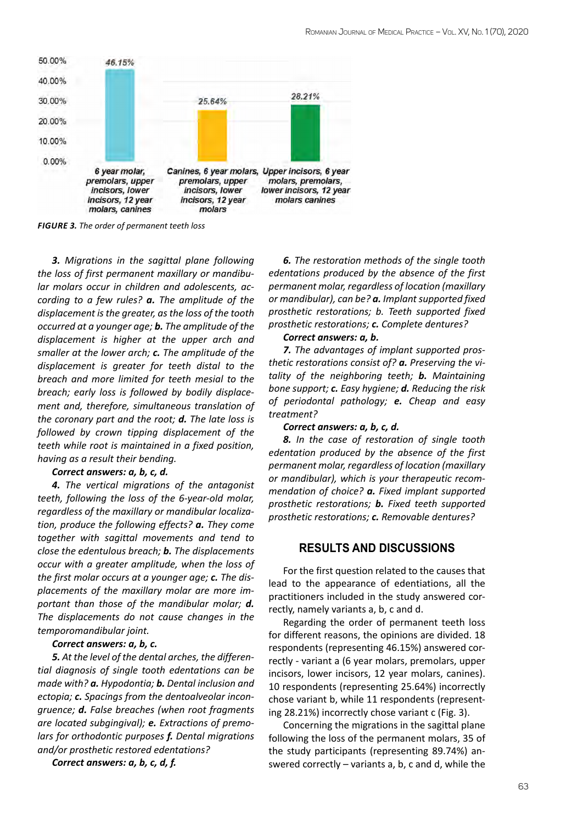

*FIGURE 3. The order of permanent teeth loss*

*3. Migrations in the sagittal plane following the loss of first permanent maxillary or mandibular molars occur in children and adolescents, according to a few rules? a. The amplitude of the displacement is the greater, as the loss of the tooth occurred at a younger age; b. The amplitude of the displacement is higher at the upper arch and smaller at the lower arch; c. The amplitude of the displacement is greater for teeth distal to the breach and more limited for teeth mesial to the breach; early loss is followed by bodily displacement and, therefore, simultaneous translation of the coronary part and the root; d. The late loss is followed by crown tipping displacement of the teeth while root is maintained in a fixed position, having as a result their bending.* 

#### *Correct answers: a, b, c, d.*

*4. The vertical migrations of the antagonist teeth, following the loss of the 6-year-old molar, regardless of the maxillary or mandibular localization, produce the following effects? a. They come together with sagittal movements and tend to close the edentulous breach; b. The displacements occur with a greater amplitude, when the loss of the first molar occurs at a younger age; c. The displacements of the maxillary molar are more important than those of the mandibular molar; d. The displacements do not cause changes in the temporomandibular joint.* 

#### *Correct answers: a, b, c.*

*5. At the level of the dental arches, the differential diagnosis of single tooth edentations can be made with? a. Hypodontia; b. Dental inclusion and ectopia; c. Spacings from the dentoalveolar incongruence; d. False breaches (when root fragments are located subgingival); e. Extractions of premolars for orthodontic purposes f. Dental migrations and/or prosthetic restored edentations?* 

*Correct answers: a, b, c, d, f.*

*6. The restoration methods of the single tooth edentations produced by the absence of the first permanent molar, regardless of location (maxillary or mandibular), can be? a. Implant supported fixed prosthetic restorations; b. Teeth supported fixed prosthetic restorations; c. Complete dentures?* 

## *Correct answers: a, b.*

*7. The advantages of implant supported prosthetic restorations consist of? a. Preserving the vitality of the neighboring teeth; b. Maintaining bone support; c. Easy hygiene; d. Reducing the risk of periodontal pathology; e. Cheap and easy treatment?* 

#### *Correct answers: a, b, c, d.*

*8. In the case of restoration of single tooth edentation produced by the absence of the first permanent molar, regardless of location (maxillary or mandibular), which is your therapeutic recommendation of choice? a. Fixed implant supported prosthetic restorations; b. Fixed teeth supported prosthetic restorations; c. Removable dentures?* 

## **RESULTS AND DISCUSSIONS**

For the first question related to the causes that lead to the appearance of edentiations, all the practitioners included in the study answered correctly, namely variants a, b, c and d.

Regarding the order of permanent teeth loss for different reasons, the opinions are divided. 18 respondents (representing 46.15%) answered correctly - variant a (6 year molars, premolars, upper incisors, lower incisors, 12 year molars, canines). 10 respondents (representing 25.64%) incorrectly chose variant b, while 11 respondents (representing 28.21%) incorrectly chose variant c (Fig. 3).

Concerning the migrations in the sagittal plane following the loss of the permanent molars, 35 of the study participants (representing 89.74%) answered correctly – variants a, b, c and d, while the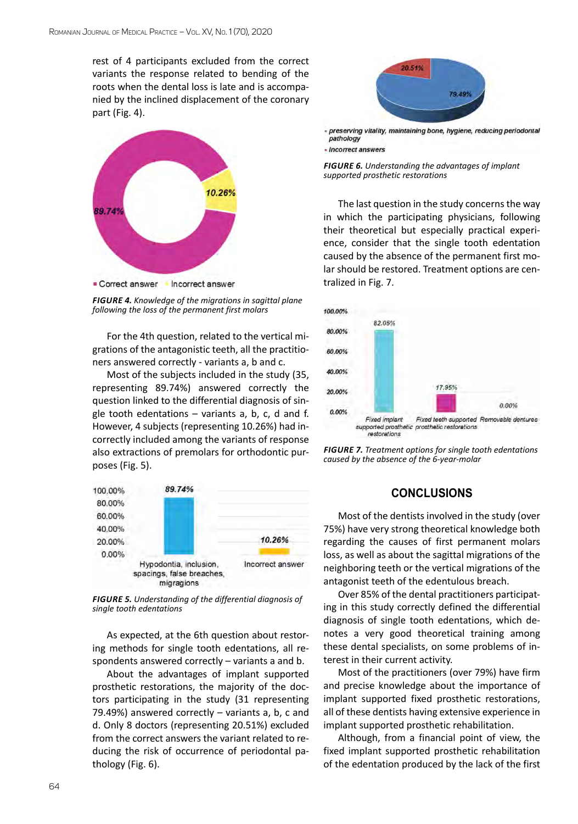rest of 4 participants excluded from the correct variants the response related to bending of the roots when the dental loss is late and is accompanied by the inclined displacement of the coronary part (Fig. 4).



*FIGURE 4. Knowledge of the migrations in sagittal plane following the loss of the permanent first molars*

For the 4th question, related to the vertical migrations of the antagonistic teeth, all the practitioners answered correctly - variants a, b and c.

Most of the subjects included in the study (35, representing 89.74%) answered correctly the question linked to the differential diagnosis of single tooth edentations – variants a, b, c, d and f. However, 4 subjects (representing 10.26%) had incorrectly included among the variants of response also extractions of premolars for orthodontic purposes (Fig. 5).



*FIGURE 5. Understanding of the differential diagnosis of single tooth edentations*

As expected, at the 6th question about restoring methods for single tooth edentations, all respondents answered correctly – variants a and b.

About the advantages of implant supported prosthetic restorations, the majority of the doctors participating in the study (31 representing 79.49%) answered correctly – variants a, b, c and d. Only 8 doctors (representing 20.51%) excluded from the correct answers the variant related to reducing the risk of occurrence of periodontal pathology (Fig. 6).



preserving vitality, maintaining bone, hygiene, reducing periodontal pathology - Incorrect answers

*FIGURE 6. Understanding the advantages of implant supported prosthetic restorations*

The last question in the study concerns the way in which the participating physicians, following their theoretical but especially practical experience, consider that the single tooth edentation caused by the absence of the permanent first molar should be restored. Treatment options are centralized in Fig. 7.



*FIGURE 7. Treatment options for single tooth edentations caused by the absence of the 6-year-molar*

# **CONCLUSIONS**

Most of the dentists involved in the study (over 75%) have very strong theoretical knowledge both regarding the causes of first permanent molars loss, as well as about the sagittal migrations of the neighboring teeth or the vertical migrations of the antagonist teeth of the edentulous breach.

Over 85% of the dental practitioners participating in this study correctly defined the differential diagnosis of single tooth edentations, which denotes a very good theoretical training among these dental specialists, on some problems of interest in their current activity.

Most of the practitioners (over 79%) have firm and precise knowledge about the importance of implant supported fixed prosthetic restorations, all of these dentists having extensive experience in implant supported prosthetic rehabilitation.

Although, from a financial point of view, the fixed implant supported prosthetic rehabilitation of the edentation produced by the lack of the first